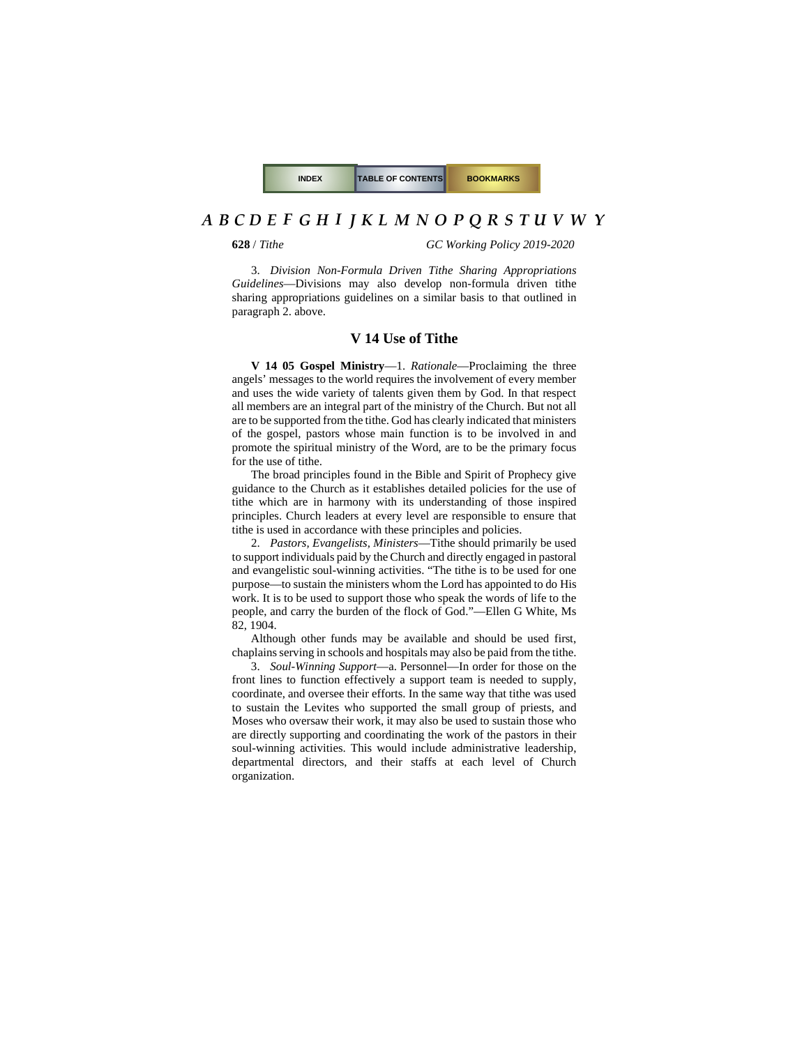**628** / *Tithe GC Working Policy 2019-2020*

3. *Division Non-Formula Driven Tithe Sharing Appropriations Guidelines*—Divisions may also develop non-formula driven tithe sharing appropriations guidelines on a similar basis to that outlined in paragraph 2. above.

#### **V 14 Use of Tithe**

**V 14 05 Gospel Ministry**—1. *Rationale*—Proclaiming the three angels' messages to the world requires the involvement of every member and uses the wide variety of talents given them by God. In that respect all members are an integral part of the ministry of the Church. But not all are to be supported from the tithe. God has clearly indicated that ministers of the gospel, pastors whose main function is to be involved in and promote the spiritual ministry of the Word, are to be the primary focus for the use of tithe.

The broad principles found in the Bible and Spirit of Prophecy give guidance to the Church as it establishes detailed policies for the use of tithe which are in harmony with its understanding of those inspired principles. Church leaders at every level are responsible to ensure that tithe is used in accordance with these principles and policies.

2. *Pastors, Evangelists, Ministers*—Tithe should primarily be used to support individuals paid by the Church and directly engaged in pastoral and evangelistic soul-winning activities. "The tithe is to be used for one purpose—to sustain the ministers whom the Lord has appointed to do His work. It is to be used to support those who speak the words of life to the people, and carry the burden of the flock of God."—Ellen G White, Ms 82, 1904.

Although other funds may be available and should be used first, chaplains serving in schools and hospitals may also be paid from the tithe.

3. *Soul-Winning Support*—a. Personnel—In order for those on the front lines to function effectively a support team is needed to supply, coordinate, and oversee their efforts. In the same way that tithe was used to sustain the Levites who supported the small group of priests, and Moses who oversaw their work, it may also be used to sustain those who are directly supporting and coordinating the work of the pastors in their soul-winning activities. This would include administrative leadership, departmental directors, and their staffs at each level of Church organization.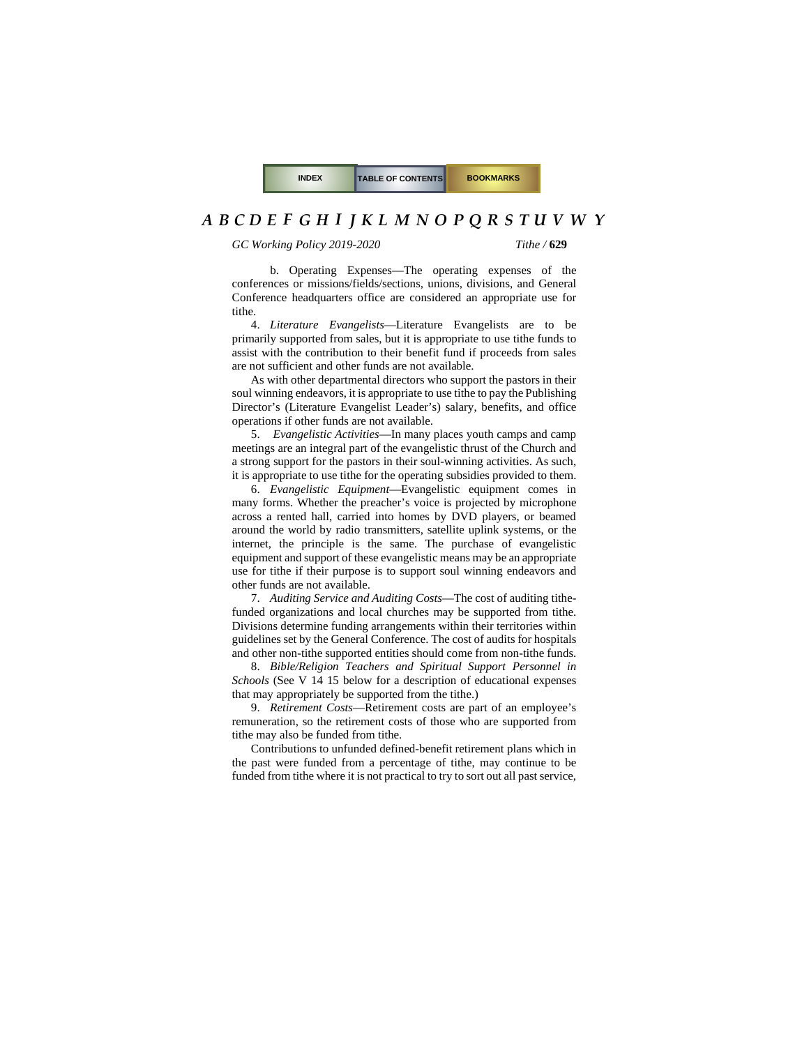#### *GC Working Policy 2019-2020 Tithe /* **629**

b. Operating Expenses—The operating expenses of the conferences or missions/fields/sections, unions, divisions, and General Conference headquarters office are considered an appropriate use for tithe.

4. *Literature Evangelists*—Literature Evangelists are to be primarily supported from sales, but it is appropriate to use tithe funds to assist with the contribution to their benefit fund if proceeds from sales are not sufficient and other funds are not available.

As with other departmental directors who support the pastors in their soul winning endeavors, it is appropriate to use tithe to pay the Publishing Director's (Literature Evangelist Leader's) salary, benefits, and office operations if other funds are not available.

5. *Evangelistic Activities*—In many places youth camps and camp meetings are an integral part of the evangelistic thrust of the Church and a strong support for the pastors in their soul-winning activities. As such, it is appropriate to use tithe for the operating subsidies provided to them.

<span id="page-1-0"></span>6. *Evangelistic Equipment*—Evangelistic equipment comes in many forms. Whether the preacher's voice is projected by microphone across a rented hall, carried into homes by DVD players, or beamed around the world by radio transmitters, satellite uplink systems, or the internet, the principle is the same. The purchase of evangelistic equipment and support of these evangelistic means may be an appropriate use for tithe if their purpose is to support soul winning endeavors and other funds are not available.

7. *Auditing Service and Auditing Costs*—The cost of auditing tithefunded organizations and local churches may be supported from tithe. Divisions determine funding arrangements within their territories within guidelines set by the General Conference. The cost of audits for hospitals and other non-tithe supported entities should come from non-tithe funds.

8. *Bible/Religion Teachers and Spiritual Support Personnel in Schools* (See [V 14 15](#page-2-0) below for a description of educational expenses that may appropriately be supported from the tithe.)

9. *Retirement Costs*—Retirement costs are part of an employee's remuneration, so the retirement costs of those who are supported from tithe may also be funded from tithe.

Contributions to unfunded defined-benefit retirement plans which in the past were funded from a percentage of tithe, may continue to be funded from tithe where it is not practical to try to sort out all past service,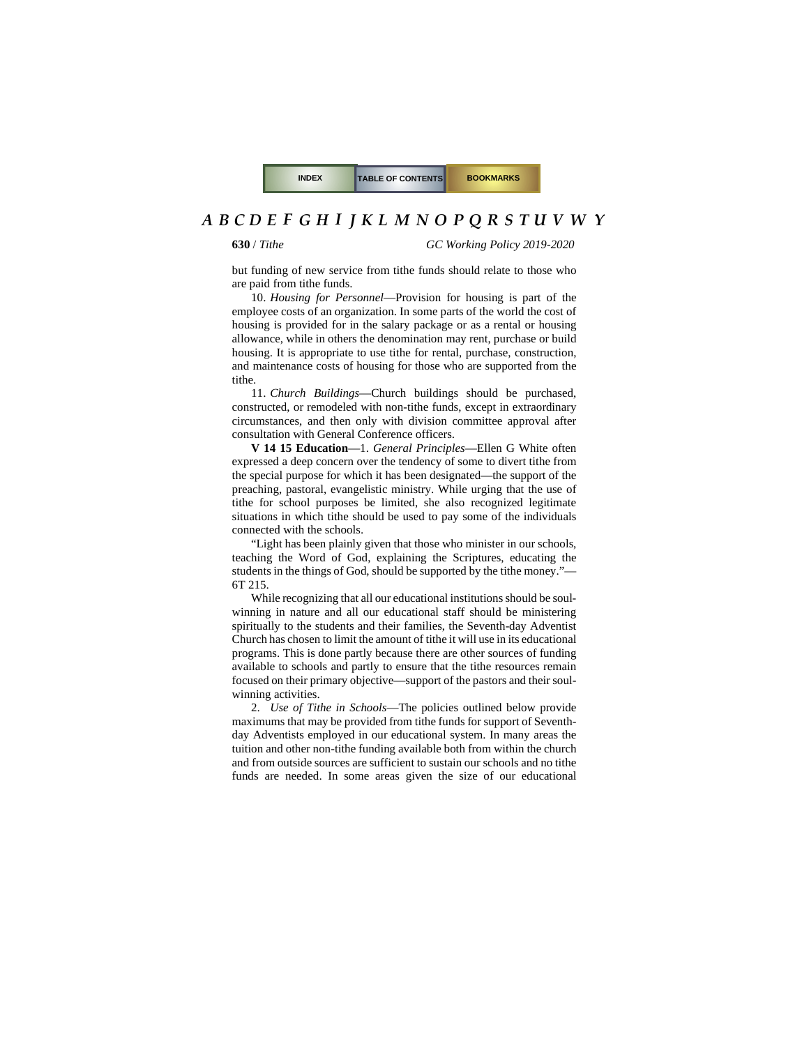**630** / *Tithe GC Working Policy 2019-2020*

but funding of new service from tithe funds should relate to those who are paid from tithe funds.

<span id="page-2-1"></span>10. *Housing for Personnel*—Provision for housing is part of the employee costs of an organization. In some parts of the world the cost of housing is provided for in the salary package or as a rental or housing allowance, while in others the denomination may rent, purchase or build housing. It is appropriate to use tithe for rental, purchase, construction, and maintenance costs of housing for those who are supported from the tithe.

11. *Church Buildings*—Church buildings should be purchased, constructed, or remodeled with non-tithe funds, except in extraordinary circumstances, and then only with division committee approval after consultation with General Conference officers.

<span id="page-2-0"></span>**V 14 15 Education**—1. *General Principles*—Ellen G White often expressed a deep concern over the tendency of some to divert tithe from the special purpose for which it has been designated—the support of the preaching, pastoral, evangelistic ministry. While urging that the use of tithe for school purposes be limited, she also recognized legitimate situations in which tithe should be used to pay some of the individuals connected with the schools.

"Light has been plainly given that those who minister in our schools, teaching the Word of God, explaining the Scriptures, educating the students in the things of God, should be supported by the tithe money."— 6T 215.

While recognizing that all our educational institutions should be soulwinning in nature and all our educational staff should be ministering spiritually to the students and their families, the Seventh-day Adventist Church has chosen to limit the amount of tithe it will use in its educational programs. This is done partly because there are other sources of funding available to schools and partly to ensure that the tithe resources remain focused on their primary objective—support of the pastors and their soulwinning activities.

2. *Use of Tithe in Schools*—The policies outlined below provide maximums that may be provided from tithe funds for support of Seventhday Adventists employed in our educational system. In many areas the tuition and other non-tithe funding available both from within the church and from outside sources are sufficient to sustain our schools and no tithe funds are needed. In some areas given the size of our educational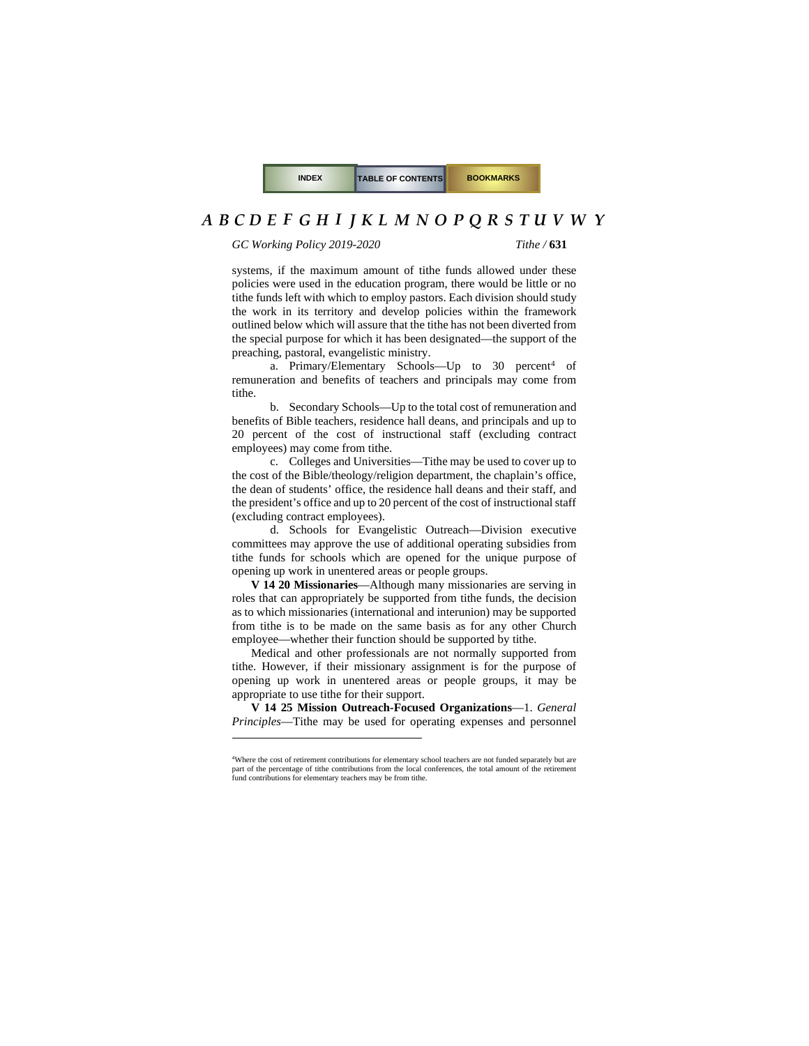*GC Working Policy 2019-2020 Tithe /* **631**

systems, if the maximum amount of tithe funds allowed under these policies were used in the education program, there would be little or no tithe funds left with which to employ pastors. Each division should study the work in its territory and develop policies within the framework outlined below which will assure that the tithe has not been diverted from the special purpose for which it has been designated—the support of the preaching, pastoral, evangelistic ministry.

a. Primary/Elementary Schools—Up to  $30$  percent<sup>[4](#page-3-0)</sup> of remuneration and benefits of teachers and principals may come from tithe.

b. Secondary Schools—Up to the total cost of remuneration and benefits of Bible teachers, residence hall deans, and principals and up to 20 percent of the cost of instructional staff (excluding contract employees) may come from tithe.

c. Colleges and Universities—Tithe may be used to cover up to the cost of the Bible/theology/religion department, the chaplain's office, the dean of students' office, the residence hall deans and their staff, and the president's office and up to 20 percent of the cost of instructional staff (excluding contract employees).

d. Schools for Evangelistic Outreach—Division executive committees may approve the use of additional operating subsidies from tithe funds for schools which are opened for the unique purpose of opening up work in unentered areas or people groups.

**V 14 20 Missionaries**—Although many missionaries are serving in roles that can appropriately be supported from tithe funds, the decision as to which missionaries (international and interunion) may be supported from tithe is to be made on the same basis as for any other Church employee—whether their function should be supported by tithe.

Medical and other professionals are not normally supported from tithe. However, if their missionary assignment is for the purpose of opening up work in unentered areas or people groups, it may be appropriate to use tithe for their support.

**V 14 25 Mission Outreach-Focused Organizations**—1. *General Principles*—Tithe may be used for operating expenses and personnel

<span id="page-3-0"></span><sup>4</sup> Where the cost of retirement contributions for elementary school teachers are not funded separately but are part of the percentage of tithe contributions from the local conferences, the total amount of the retirement fund contributions for elementary teachers may be from tithe.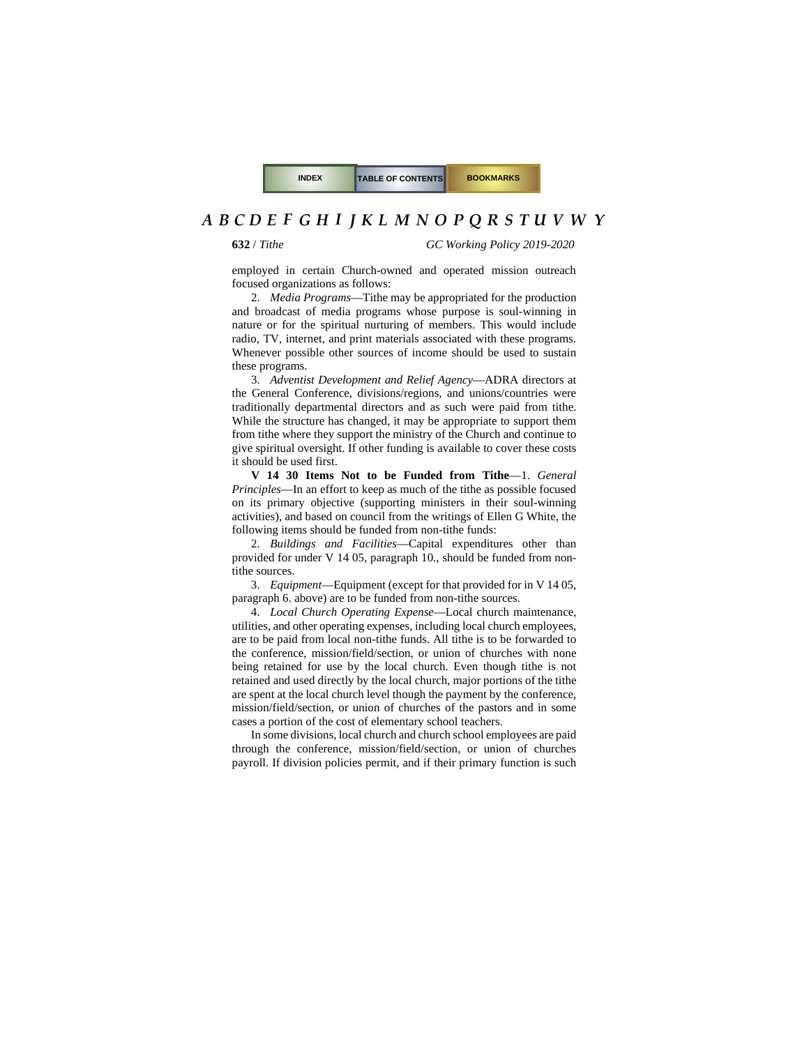**632** / *Tithe GC Working Policy 2019-2020*

employed in certain Church-owned and operated mission outreach focused organizations as follows:

2. *Media Programs*—Tithe may be appropriated for the production and broadcast of media programs whose purpose is soul-winning in nature or for the spiritual nurturing of members. This would include radio, TV, internet, and print materials associated with these programs. Whenever possible other sources of income should be used to sustain these programs.

3. *Adventist Development and Relief Agency*—ADRA directors at the General Conference, divisions/regions, and unions/countries were traditionally departmental directors and as such were paid from tithe. While the structure has changed, it may be appropriate to support them from tithe where they support the ministry of the Church and continue to give spiritual oversight. If other funding is available to cover these costs it should be used first.

**V 14 30 Items Not to be Funded from Tithe**—1. *General Principles*—In an effort to keep as much of the tithe as possible focused on its primary objective (supporting ministers in their soul-winning activities), and based on council from the writings of Ellen G White, the following items should be funded from non-tithe funds:

2. *Buildings and Facilities*—Capital expenditures other than provided for under [V 14 05, paragraph 10.,](#page-2-1) should be funded from nontithe sources.

3. *Equipment*—Equipment (except for that provided for i[n V 14 05,](#page-1-0)  [paragraph](#page-1-0) 6. above) are to be funded from non-tithe sources.

4. *Local Church Operating Expense*—Local church maintenance, utilities, and other operating expenses, including local church employees, are to be paid from local non-tithe funds. All tithe is to be forwarded to the conference, mission/field/section, or union of churches with none being retained for use by the local church. Even though tithe is not retained and used directly by the local church, major portions of the tithe are spent at the local church level though the payment by the conference, mission/field/section, or union of churches of the pastors and in some cases a portion of the cost of elementary school teachers.

In some divisions, local church and church school employees are paid through the conference, mission/field/section, or union of churches payroll. If division policies permit, and if their primary function is such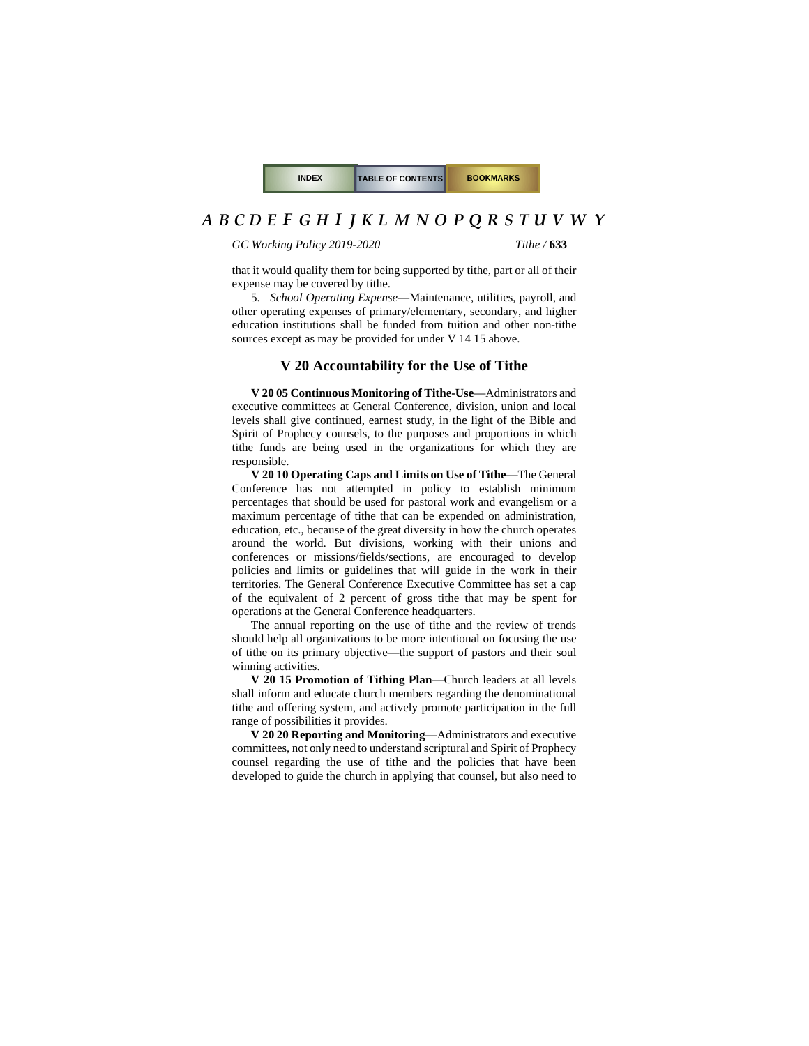*GC Working Policy 2019-2020 Tithe /* **633**

that it would qualify them for being supported by tithe, part or all of their expense may be covered by tithe.

5. *School Operating Expense*—Maintenance, utilities, payroll, and other operating expenses of primary/elementary, secondary, and higher education institutions shall be funded from tuition and other non-tithe sources except as may be provided for unde[r V 14 15](#page-2-0) above.

#### **V 20 Accountability for the Use of Tithe**

**V 20 05 Continuous Monitoring of Tithe-Use**—Administrators and executive committees at General Conference, division, union and local levels shall give continued, earnest study, in the light of the Bible and Spirit of Prophecy counsels, to the purposes and proportions in which tithe funds are being used in the organizations for which they are responsible.

**V 20 10 Operating Caps and Limits on Use of Tithe**—The General Conference has not attempted in policy to establish minimum percentages that should be used for pastoral work and evangelism or a maximum percentage of tithe that can be expended on administration, education, etc., because of the great diversity in how the church operates around the world. But divisions, working with their unions and conferences or missions/fields/sections, are encouraged to develop policies and limits or guidelines that will guide in the work in their territories. The General Conference Executive Committee has set a cap of the equivalent of 2 percent of gross tithe that may be spent for operations at the General Conference headquarters.

The annual reporting on the use of tithe and the review of trends should help all organizations to be more intentional on focusing the use of tithe on its primary objective—the support of pastors and their soul winning activities.

**V 20 15 Promotion of Tithing Plan**—Church leaders at all levels shall inform and educate church members regarding the denominational tithe and offering system, and actively promote participation in the full range of possibilities it provides.

**V 20 20 Reporting and Monitoring**—Administrators and executive committees, not only need to understand scriptural and Spirit of Prophecy counsel regarding the use of tithe and the policies that have been developed to guide the church in applying that counsel, but also need to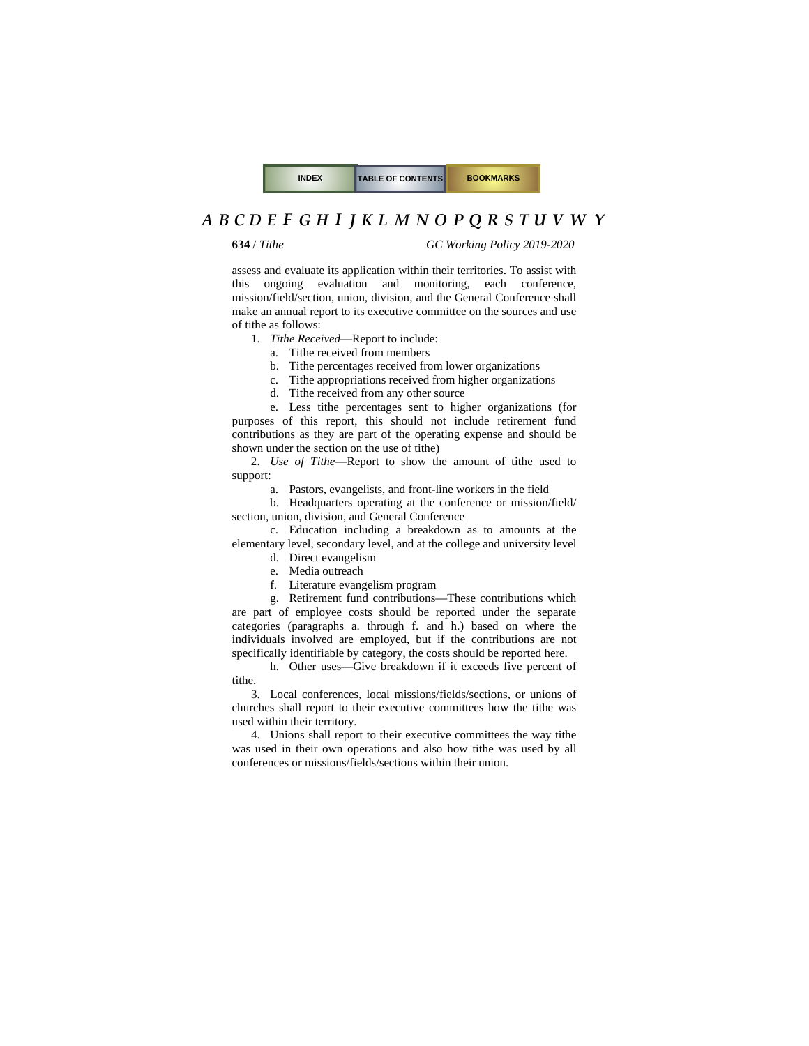**634** / *Tithe GC Working Policy 2019-2020*

assess and evaluate its application within their territories. To assist with this ongoing evaluation and monitoring, each conference, mission/field/section, union, division, and the General Conference shall make an annual report to its executive committee on the sources and use of tithe as follows:

1. *Tithe Received*—Report to include:

a. Tithe received from members

b. Tithe percentages received from lower organizations

c. Tithe appropriations received from higher organizations

d. Tithe received from any other source

e. Less tithe percentages sent to higher organizations (for purposes of this report, this should not include retirement fund contributions as they are part of the operating expense and should be shown under the section on the use of tithe)

2. *Use of Tithe*—Report to show the amount of tithe used to support:

<span id="page-6-0"></span>a. Pastors, evangelists, and front-line workers in the field

b. Headquarters operating at the conference or mission/field/ section, union, division, and General Conference

c. Education including a breakdown as to amounts at the elementary level, secondary level, and at the college and university level

- d. Direct evangelism
- e. Media outreach
- f. Literature evangelism program

g. Retirement fund contributions—These contributions which are part of employee costs should be reported under the separate categories [\(paragraphs a. through f. and h.\)](#page-6-0) based on where the individuals involved are employed, but if the contributions are not specifically identifiable by category, the costs should be reported here.

h. Other uses—Give breakdown if it exceeds five percent of tithe.

3. Local conferences, local missions/fields/sections, or unions of churches shall report to their executive committees how the tithe was used within their territory.

4. Unions shall report to their executive committees the way tithe was used in their own operations and also how tithe was used by all conferences or missions/fields/sections within their union.